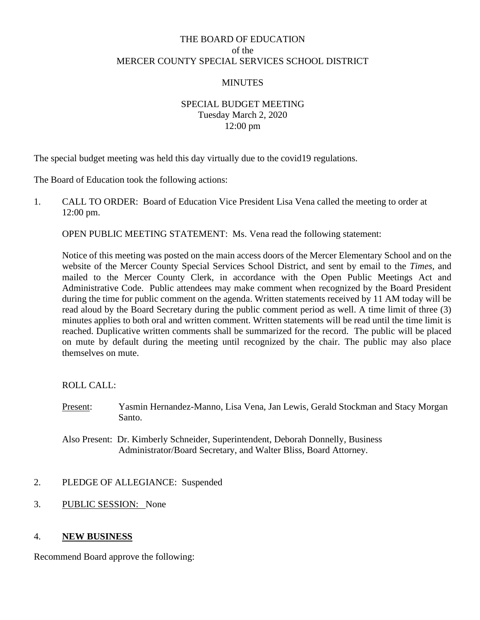# THE BOARD OF EDUCATION of the MERCER COUNTY SPECIAL SERVICES SCHOOL DISTRICT

### **MINUTES**

## SPECIAL BUDGET MEETING Tuesday March 2, 2020 12:00 pm

The special budget meeting was held this day virtually due to the covid19 regulations.

The Board of Education took the following actions:

1. CALL TO ORDER: Board of Education Vice President Lisa Vena called the meeting to order at 12:00 pm.

OPEN PUBLIC MEETING STATEMENT: Ms. Vena read the following statement:

Notice of this meeting was posted on the main access doors of the Mercer Elementary School and on the website of the Mercer County Special Services School District, and sent by email to the *Times*, and mailed to the Mercer County Clerk, in accordance with the Open Public Meetings Act and Administrative Code. Public attendees may make comment when recognized by the Board President during the time for public comment on the agenda. Written statements received by 11 AM today will be read aloud by the Board Secretary during the public comment period as well. A time limit of three (3) minutes applies to both oral and written comment. Written statements will be read until the time limit is reached. Duplicative written comments shall be summarized for the record. The public will be placed on mute by default during the meeting until recognized by the chair. The public may also place themselves on mute.

ROLL CALL:

Present: Yasmin Hernandez-Manno, Lisa Vena, Jan Lewis, Gerald Stockman and Stacy Morgan Santo.

#### 2. PLEDGE OF ALLEGIANCE: Suspended

3. PUBLIC SESSION: None

#### 4. **NEW BUSINESS**

Recommend Board approve the following:

Also Present: Dr. Kimberly Schneider, Superintendent, Deborah Donnelly, Business Administrator/Board Secretary, and Walter Bliss, Board Attorney.